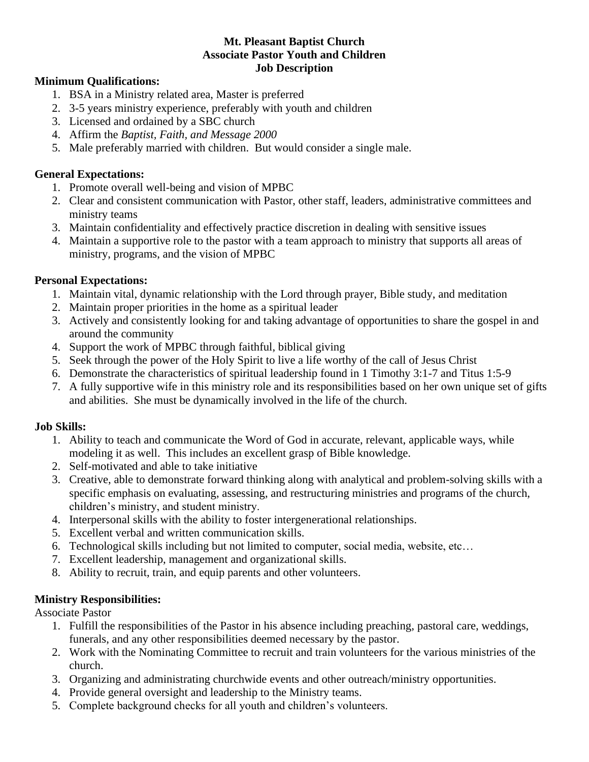#### **Mt. Pleasant Baptist Church Associate Pastor Youth and Children Job Description**

#### **Minimum Qualifications:**

- 1. BSA in a Ministry related area, Master is preferred
- 2. 3-5 years ministry experience, preferably with youth and children
- 3. Licensed and ordained by a SBC church
- 4. Affirm the *Baptist, Faith, and Message 2000*
- 5. Male preferably married with children. But would consider a single male.

### **General Expectations:**

- 1. Promote overall well-being and vision of MPBC
- 2. Clear and consistent communication with Pastor, other staff, leaders, administrative committees and ministry teams
- 3. Maintain confidentiality and effectively practice discretion in dealing with sensitive issues
- 4. Maintain a supportive role to the pastor with a team approach to ministry that supports all areas of ministry, programs, and the vision of MPBC

## **Personal Expectations:**

- 1. Maintain vital, dynamic relationship with the Lord through prayer, Bible study, and meditation
- 2. Maintain proper priorities in the home as a spiritual leader
- 3. Actively and consistently looking for and taking advantage of opportunities to share the gospel in and around the community
- 4. Support the work of MPBC through faithful, biblical giving
- 5. Seek through the power of the Holy Spirit to live a life worthy of the call of Jesus Christ
- 6. Demonstrate the characteristics of spiritual leadership found in 1 Timothy 3:1-7 and Titus 1:5-9
- 7. A fully supportive wife in this ministry role and its responsibilities based on her own unique set of gifts and abilities. She must be dynamically involved in the life of the church.

#### **Job Skills:**

- 1. Ability to teach and communicate the Word of God in accurate, relevant, applicable ways, while modeling it as well. This includes an excellent grasp of Bible knowledge.
- 2. Self-motivated and able to take initiative
- 3. Creative, able to demonstrate forward thinking along with analytical and problem-solving skills with a specific emphasis on evaluating, assessing, and restructuring ministries and programs of the church, children's ministry, and student ministry.
- 4. Interpersonal skills with the ability to foster intergenerational relationships.
- 5. Excellent verbal and written communication skills.
- 6. Technological skills including but not limited to computer, social media, website, etc…
- 7. Excellent leadership, management and organizational skills.
- 8. Ability to recruit, train, and equip parents and other volunteers.

# **Ministry Responsibilities:**

Associate Pastor

- 1. Fulfill the responsibilities of the Pastor in his absence including preaching, pastoral care, weddings, funerals, and any other responsibilities deemed necessary by the pastor.
- 2. Work with the Nominating Committee to recruit and train volunteers for the various ministries of the church.
- 3. Organizing and administrating churchwide events and other outreach/ministry opportunities.
- 4. Provide general oversight and leadership to the Ministry teams.
- 5. Complete background checks for all youth and children's volunteers.